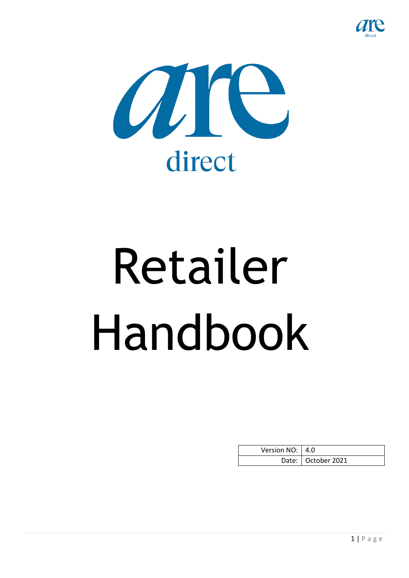



# Retailer Handbook

| Version NO:   4.0 |                      |
|-------------------|----------------------|
|                   | Date:   October 2021 |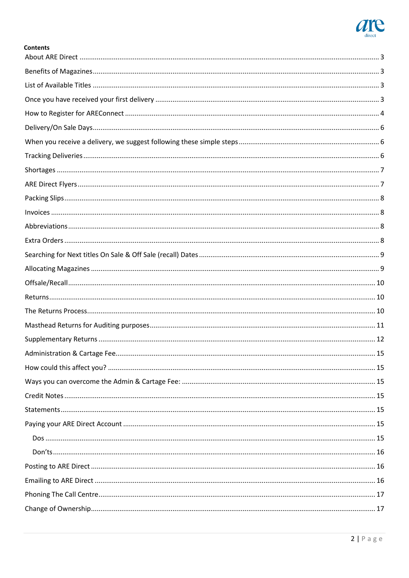

| <b>Contents</b> |  |
|-----------------|--|
|                 |  |
|                 |  |
|                 |  |
|                 |  |
|                 |  |
|                 |  |
|                 |  |
|                 |  |
|                 |  |
|                 |  |
|                 |  |
|                 |  |
|                 |  |
|                 |  |
|                 |  |
|                 |  |
|                 |  |
|                 |  |
|                 |  |
|                 |  |
|                 |  |
|                 |  |
|                 |  |
|                 |  |
|                 |  |
|                 |  |
|                 |  |
|                 |  |
|                 |  |
|                 |  |
|                 |  |
|                 |  |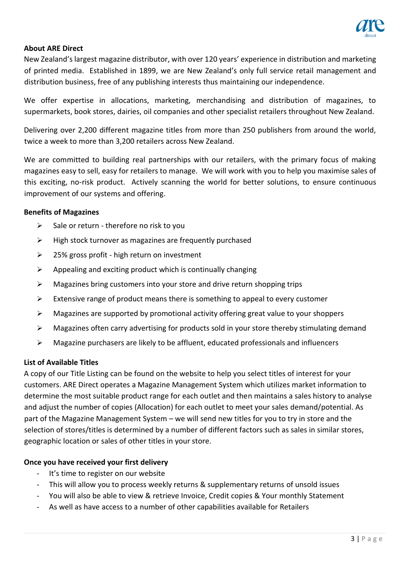

## <span id="page-2-0"></span>**About ARE Direct**

New Zealand's largest magazine distributor, with over 120 years' experience in distribution and marketing of printed media. Established in 1899, we are New Zealand's only full service retail management and distribution business, free of any publishing interests thus maintaining our independence.

We offer expertise in allocations, marketing, merchandising and distribution of magazines, to supermarkets, book stores, dairies, oil companies and other specialist retailers throughout New Zealand.

Delivering over 2,200 different magazine titles from more than 250 publishers from around the world, twice a week to more than 3,200 retailers across New Zealand.

We are committed to building real partnerships with our retailers, with the primary focus of making magazines easy to sell, easy for retailers to manage. We will work with you to help you maximise sales of this exciting, no-risk product. Actively scanning the world for better solutions, to ensure continuous improvement of our systems and offering.

#### <span id="page-2-1"></span>**Benefits of Magazines**

- $\triangleright$  Sale or return therefore no risk to you
- $\triangleright$  High stock turnover as magazines are frequently purchased
- ➢ 25% gross profit high return on investment
- $\triangleright$  Appealing and exciting product which is continually changing
- ➢ Magazines bring customers into your store and drive return shopping trips
- $\triangleright$  Extensive range of product means there is something to appeal to every customer
- $\triangleright$  Magazines are supported by promotional activity offering great value to your shoppers
- $\triangleright$  Magazines often carry advertising for products sold in your store thereby stimulating demand
- ➢ Magazine purchasers are likely to be affluent, educated professionals and influencers

#### <span id="page-2-2"></span>**List of Available Titles**

A copy of our Title Listing can be found on the website to help you select titles of interest for your customers. ARE Direct operates a Magazine Management System which utilizes market information to determine the most suitable product range for each outlet and then maintains a sales history to analyse and adjust the number of copies (Allocation) for each outlet to meet your sales demand/potential. As part of the Magazine Management System – we will send new titles for you to try in store and the selection of stores/titles is determined by a number of different factors such as sales in similar stores, geographic location or sales of other titles in your store.

#### <span id="page-2-3"></span>**Once you have received your first delivery**

- It's time to register on our website
- This will allow you to process weekly returns & supplementary returns of unsold issues
- You will also be able to view & retrieve Invoice, Credit copies & Your monthly Statement
- As well as have access to a number of other capabilities available for Retailers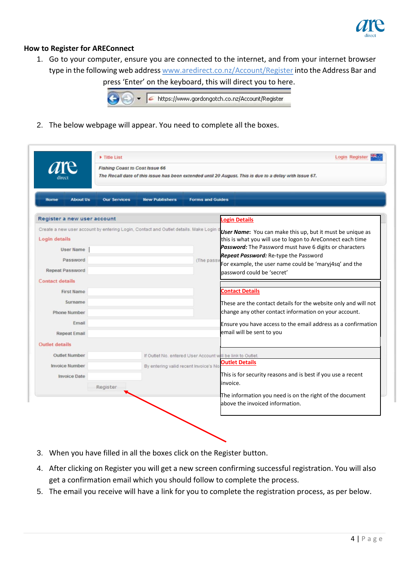

## <span id="page-3-0"></span>**How to Register for AREConnect**

1. Go to your computer, ensure you are connected to the internet, and from your internet browser type in the following web address [www.aredirect.co.nz/Account/Register](http://www.gordongotch.co.nz/Account/Register) into the Address Bar and press 'Enter' on the keyboard, this will direct you to here.

https://www.gordongotch.co.nz/Account/Register

2. The below webpage will appear. You need to complete all the boxes.

| Title List<br>Fishing Coast to Cost Issue 66                                                                                                                                                                                        |                     |                                        | The Recall date of this issue has been extended until 20 August. This is due to a delay with Issue 67.                                                                                                                                                                                                                                                                                                                                                                                        |
|-------------------------------------------------------------------------------------------------------------------------------------------------------------------------------------------------------------------------------------|---------------------|----------------------------------------|-----------------------------------------------------------------------------------------------------------------------------------------------------------------------------------------------------------------------------------------------------------------------------------------------------------------------------------------------------------------------------------------------------------------------------------------------------------------------------------------------|
| <b>About Us</b><br>Home                                                                                                                                                                                                             | <b>Our Services</b> | <b>New Publishers</b>                  | <b>Forms and Guides</b>                                                                                                                                                                                                                                                                                                                                                                                                                                                                       |
| Register a new user account                                                                                                                                                                                                         |                     |                                        | <b>Login Details</b>                                                                                                                                                                                                                                                                                                                                                                                                                                                                          |
| Create a new user account by entering Login, Contact and Outlet details. Make Login o<br>Login details<br><b>User Name</b><br>Password<br>Repeat Password<br><b>Contact details</b><br><b>First Name</b><br>Surname<br>Phone Number |                     |                                        | User Name: You can make this up, but it must be unique as<br>this is what you will use to logon to AreConnect each time<br>Password: The Password must have 6 digits or characters<br><b>Repeat Password:</b> Re-type the Password<br>(The pass<br>For example, the user name could be 'maryj4sq' and the<br>bassword could be 'secret'<br><b>Contact Details</b><br>These are the contact details for the website only and will not<br>change any other contact information on your account. |
| Email<br><b>Repeat Email</b>                                                                                                                                                                                                        |                     |                                        | Ensure you have access to the email address as a confirmation<br>email will be sent to you                                                                                                                                                                                                                                                                                                                                                                                                    |
| <b>Outlet details</b><br><b>Outlet Number</b><br><b>Invoice Number</b><br><b>Invoice Date</b>                                                                                                                                       | Register            | By entering valid recent Invoice's No. | If Outlet No. entered User Account will be link to Outlet.<br><b>Outlet Details</b><br>This is for security reasons and is best if you use a recent<br>linvoice.                                                                                                                                                                                                                                                                                                                              |
|                                                                                                                                                                                                                                     |                     |                                        | The information you need is on the right of the document<br>labove the invoiced information.                                                                                                                                                                                                                                                                                                                                                                                                  |

- 3. When you have filled in all the boxes click on the Register button.
- 4. After clicking on Register you will get a new screen confirming successful registration. You will also get a confirmation email which you should follow to complete the process.
- 5. The email you receive will have a link for you to complete the registration process, as per below.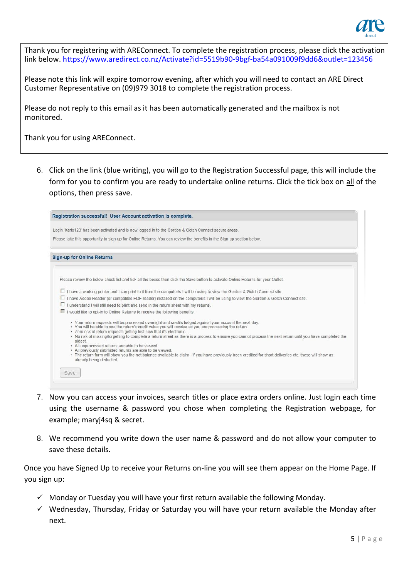

Thank you for registering with AREConnect. To complete the registration process, please click the activation link below. https://www.aredirect.co.nz/Activate?id=5519b90-9bgf-ba54a091009f9dd6&outlet=123456

Please note this link will expire tomorrow evening, after which you will need to contact an ARE Direct Customer Representative on (09)979 3018 to complete the registration process.

Please do not reply to this email as it has been automatically generated and the mailbox is not monitored.

Thank you for using AREConnect.

6. Click on the link (blue writing), you will go to the Registration Successful page, this will include the form for you to confirm you are ready to undertake online returns. Click the tick box on all of the options, then press save.



- 7. Now you can access your invoices, search titles or place extra orders online. Just login each time using the username & password you chose when completing the Registration webpage, for example; maryj4sq & secret.
- 8. We recommend you write down the user name & password and do not allow your computer to save these details.

Once you have Signed Up to receive your Returns on-line you will see them appear on the Home Page. If you sign up:

- $\checkmark$  Monday or Tuesday you will have your first return available the following Monday.
- $\checkmark$  Wednesday, Thursday, Friday or Saturday you will have your return available the Monday after next.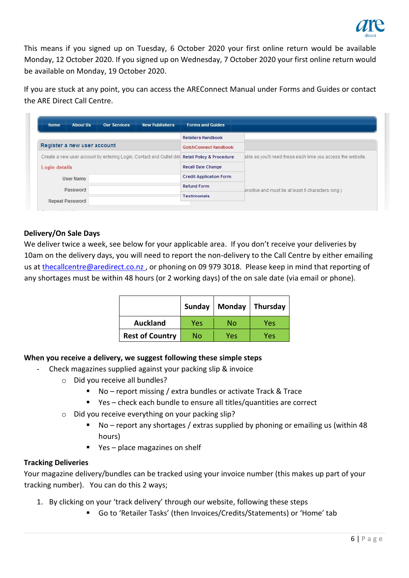

This means if you signed up on Tuesday, 6 October 2020 your first online return would be available Monday, 12 October 2020. If you signed up on Wednesday, 7 October 2020 your first online return would be available on Monday, 19 October 2020.

If you are stuck at any point, you can access the AREConnect Manual under Forms and Guides or contact the ARE Direct Call Centre.

| <b>About Us</b><br><b>Our Services</b><br><b>New Publishers</b><br>Home                        | <b>Forms and Guides</b>        |                                                             |  |
|------------------------------------------------------------------------------------------------|--------------------------------|-------------------------------------------------------------|--|
|                                                                                                | <b>Retailers Handbook</b>      |                                                             |  |
| Register a new user account                                                                    | GotchConnect Handbook          |                                                             |  |
| Create a new user account by entering Login, Contact and Outlet det: Retail Policy & Procedure |                                | able as you'll need these each time you access the website. |  |
| Login details                                                                                  | <b>Recall Date Change</b>      |                                                             |  |
| User Name                                                                                      | <b>Credit Application Form</b> |                                                             |  |
| Password                                                                                       | <b>Refund Form</b>             | ensitive and must be at least 6 characters long.)           |  |
|                                                                                                | <b>Testimonials</b>            |                                                             |  |

# <span id="page-5-0"></span>**Delivery/On Sale Days**

We deliver twice a week, see below for your applicable area. If you don't receive your deliveries by 10am on the delivery days, you will need to report the non-delivery to the Call Centre by either emailing us at thecallcentre@aredirect.co.nz, or phoning on 09 979 3018. Please keep in mind that reporting of any shortages must be within 48 hours (or 2 working days) of the on sale date (via email or phone).

|                        | Sunday | Monday | Thursday |  |
|------------------------|--------|--------|----------|--|
| <b>Auckland</b>        | Yes    | No     | Yes      |  |
| <b>Rest of Country</b> | No     | Yes    | Yes      |  |

# <span id="page-5-1"></span>**When you receive a delivery, we suggest following these simple steps**

- Check magazines supplied against your packing slip & invoice
	- o Did you receive all bundles?
		- No report missing / extra bundles or activate Track & Trace
		- Yes check each bundle to ensure all titles/quantities are correct
	- o Did you receive everything on your packing slip?
		- No report any shortages / extras supplied by phoning or emailing us (within 48 hours)
		- Yes place magazines on shelf

#### <span id="page-5-2"></span>**Tracking Deliveries**

Your magazine delivery/bundles can be tracked using your invoice number (this makes up part of your tracking number). You can do this 2 ways;

- 1. By clicking on your 'track delivery' through our website, following these steps
	- Go to 'Retailer Tasks' (then Invoices/Credits/Statements) or 'Home' tab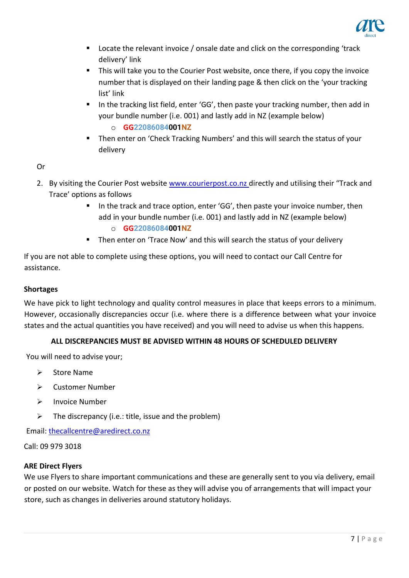

- Locate the relevant invoice / onsale date and click on the corresponding 'track delivery' link
- This will take you to the Courier Post website, once there, if you copy the invoice number that is displayed on their landing page & then click on the 'your tracking list' link
- In the tracking list field, enter 'GG', then paste your tracking number, then add in your bundle number (i.e. 001) and lastly add in NZ (example below)
	- o **GG22086084001NZ**
- Then enter on 'Check Tracking Numbers' and this will search the status of your delivery

# Or

- 2. By visiting the Courier Post website [www.courierpost.co.nz](http://www.courierpost.co.nz/) directly and utilising their "Track and Trace' options as follows
	- In the track and trace option, enter 'GG', then paste your invoice number, then add in your bundle number (i.e. 001) and lastly add in NZ (example below) o **GG22086084001NZ**
	- Then enter on 'Trace Now' and this will search the status of your delivery

If you are not able to complete using these options, you will need to contact our Call Centre for assistance.

# <span id="page-6-0"></span>**Shortages**

We have pick to light technology and quality control measures in place that keeps errors to a minimum. However, occasionally discrepancies occur (i.e. where there is a difference between what your invoice states and the actual quantities you have received) and you will need to advise us when this happens.

# **ALL DISCREPANCIES MUST BE ADVISED WITHIN 48 HOURS OF SCHEDULED DELIVERY**

You will need to advise your;

- ➢ Store Name
- ➢ Customer Number
- ➢ Invoice Number
- $\triangleright$  The discrepancy (i.e.: title, issue and the problem)

Email: thecallcentre@aredirect.co.nz

Call: 09 979 3018

# <span id="page-6-1"></span>**ARE Direct Flyers**

We use Flyers to share important communications and these are generally sent to you via delivery, email or posted on our website. Watch for these as they will advise you of arrangements that will impact your store, such as changes in deliveries around statutory holidays.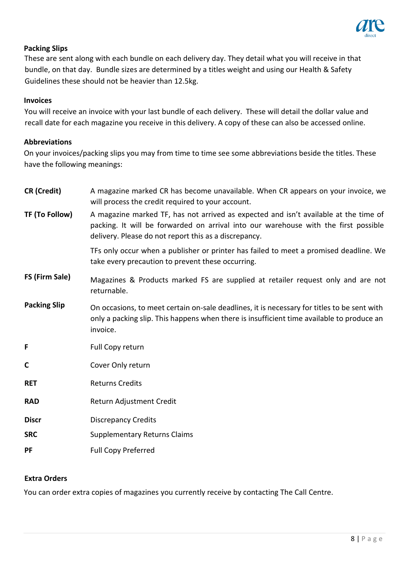

# <span id="page-7-0"></span>**Packing Slips**

These are sent along with each bundle on each delivery day. They detail what you will receive in that bundle, on that day. Bundle sizes are determined by a titles weight and using our Health & Safety Guidelines these should not be heavier than 12.5kg.

## <span id="page-7-1"></span>**Invoices**

You will receive an invoice with your last bundle of each delivery. These will detail the dollar value and recall date for each magazine you receive in this delivery. A copy of these can also be accessed online.

## <span id="page-7-2"></span>**Abbreviations**

On your invoices/packing slips you may from time to time see some abbreviations beside the titles. These have the following meanings:

| <b>CR</b> (Credit)  | A magazine marked CR has become unavailable. When CR appears on your invoice, we<br>will process the credit required to your account.                                                                                                |
|---------------------|--------------------------------------------------------------------------------------------------------------------------------------------------------------------------------------------------------------------------------------|
| TF (To Follow)      | A magazine marked TF, has not arrived as expected and isn't available at the time of<br>packing. It will be forwarded on arrival into our warehouse with the first possible<br>delivery. Please do not report this as a discrepancy. |
|                     | TFs only occur when a publisher or printer has failed to meet a promised deadline. We<br>take every precaution to prevent these occurring.                                                                                           |
| FS (Firm Sale)      | Magazines & Products marked FS are supplied at retailer request only and are not<br>returnable.                                                                                                                                      |
| <b>Packing Slip</b> | On occasions, to meet certain on-sale deadlines, it is necessary for titles to be sent with<br>only a packing slip. This happens when there is insufficient time available to produce an<br>invoice.                                 |
| F                   | Full Copy return                                                                                                                                                                                                                     |
| $\mathbf C$         | Cover Only return                                                                                                                                                                                                                    |
| <b>RET</b>          | <b>Returns Credits</b>                                                                                                                                                                                                               |
| <b>RAD</b>          | Return Adjustment Credit                                                                                                                                                                                                             |
| <b>Discr</b>        | <b>Discrepancy Credits</b>                                                                                                                                                                                                           |
| <b>SRC</b>          | <b>Supplementary Returns Claims</b>                                                                                                                                                                                                  |
| PF                  | <b>Full Copy Preferred</b>                                                                                                                                                                                                           |
|                     |                                                                                                                                                                                                                                      |

# <span id="page-7-3"></span>**Extra Orders**

You can order extra copies of magazines you currently receive by contacting The Call Centre.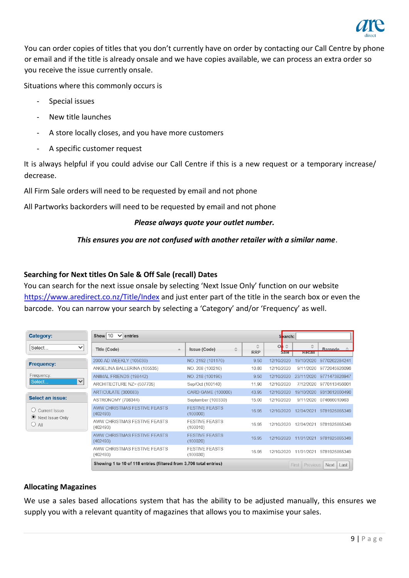

You can order copies of titles that you don't currently have on order by contacting our Call Centre by phone or email and if the title is already onsale and we have copies available, we can process an extra order so you receive the issue currently onsale.

Situations where this commonly occurs is

- Special issues
- New title launches
- A store locally closes, and you have more customers
- A specific customer request

It is always helpful if you could advise our Call Centre if this is a new request or a temporary increase/ decrease.

All Firm Sale orders will need to be requested by email and not phone

All Partworks backorders will need to be requested by email and not phone

#### *Please always quote your outlet number.*

## *This ensures you are not confused with another retailer with a similar name*.

## <span id="page-8-0"></span>**Searching for Next titles On Sale & Off Sale (recall) Dates**

You can search for the next issue onsale by selecting 'Next Issue Only' function on our website [https://www.aredirect.co.nz/Title/Index](https://www.gordongotch.co.nz/Title/Index) and just enter part of the title in the search box or even the barcode. You can narrow your search by selecting a 'Category' and/or 'Frequency' as well.

| Category:                  | Show 10<br>$\vee$ entries<br>Search:                               |                                   |                 |                             |                 |               |
|----------------------------|--------------------------------------------------------------------|-----------------------------------|-----------------|-----------------------------|-----------------|---------------|
| Select<br>$\checkmark$     | Title (Code)<br>A                                                  | Issue (Code)<br>≎                 | ≎<br><b>RRP</b> | O <sub>1</sub><br>슸<br>Sale | ☆<br>Recall     | Barcode:      |
|                            | 2000 AD WEEKLY (105030)                                            | NO. 2192 (101170)                 | 9.50            | 12/10/2020                  | 19/10/2020      | 9770262284241 |
| <b>Frequency:</b>          | ANGELINA BALLERINA (105535)                                        | NO. 208 (100210)                  | 10.80           | 12/10/2020                  | 9/11/2020       | 9772045926096 |
| Frequency:                 | ANIMAL FRIENDS (198442)                                            | NO. 218 (100190)                  | 9.50            | 12/10/2020                  | 23/11/2020      | 9771473826947 |
| Select<br>$\checkmark$     | ARCHITECTURE NZ> (507705)                                          | Sep/Oct (100140)                  | 11.90           | 12/10/2020                  | 7/12/2020       | 9770113456001 |
|                            | ARTICULATE (300083)                                                | CARD GAME (100000)                | 43.95           | 12/10/2020                  | 19/10/2020      | 9313612000490 |
| Select an issue:           | ASTRONOMY (708344)                                                 | September (100330)                | 15.00           | 12/10/2020                  | 9/11/2020       | 074666010963  |
| Current Issue<br>$\bullet$ | <b>AWW CHRISTMAS FESTIVE FEASTS</b><br>(402493)                    | <b>FESTIVE FEASTS</b><br>(100000) | 16.95           | 12/10/2020                  | 12/04/2021      | 9781925865349 |
| Next Issue Only<br>$O$ All | AWW CHRISTMAS FESTIVE FEASTS<br>(402493)                           | <b>FESTIVE FEASTS</b><br>(100010) | 16 95           | 12/10/2020                  | 12/04/2021      | 9781925865349 |
|                            | AWW CHRISTMAS FESTIVE FEASTS<br>(402493)                           | <b>FESTIVE FEASTS</b><br>(100020) | 16.95           | 12/10/2020                  | 11/01/2021      | 9781925865349 |
|                            | AWW CHRISTMAS FESTIVE FEASTS<br>(402493)                           | <b>FESTIVE FEASTS</b><br>(100030) | 16.95           | 12/10/2020                  | 11/01/2021      | 9781925865349 |
|                            | Showing 1 to 10 of 118 entries (filtered from 3,706 total entries) |                                   |                 | First                       | <b>Previous</b> | Next<br>Last  |

#### <span id="page-8-1"></span>**Allocating Magazines**

We use a sales based allocations system that has the ability to be adjusted manually, this ensures we supply you with a relevant quantity of magazines that allows you to maximise your sales.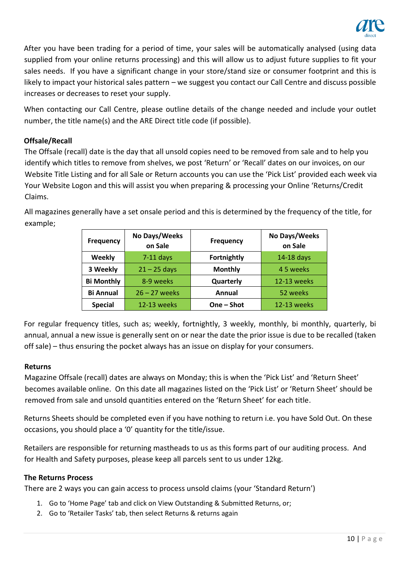

After you have been trading for a period of time, your sales will be automatically analysed (using data supplied from your online returns processing) and this will allow us to adjust future supplies to fit your sales needs. If you have a significant change in your store/stand size or consumer footprint and this is likely to impact your historical sales pattern – we suggest you contact our Call Centre and discuss possible increases or decreases to reset your supply.

When contacting our Call Centre, please outline details of the change needed and include your outlet number, the title name(s) and the ARE Direct title code (if possible).

# <span id="page-9-0"></span>**Offsale/Recall**

The Offsale (recall) date is the day that all unsold copies need to be removed from sale and to help you identify which titles to remove from shelves, we post 'Return' or 'Recall' dates on our invoices, on our Website Title Listing and for all Sale or Return accounts you can use the 'Pick List' provided each week via Your Website Logon and this will assist you when preparing & processing your Online 'Returns/Credit Claims.

All magazines generally have a set onsale period and this is determined by the frequency of the title, for example;

| <b>Frequency</b>  | No Days/Weeks<br>on Sale | Frequency          | No Days/Weeks<br>on Sale |
|-------------------|--------------------------|--------------------|--------------------------|
| <b>Weekly</b>     | $7-11$ days              | <b>Fortnightly</b> | 14-18 days               |
| 3 Weekly          | $21 - 25$ days           | <b>Monthly</b>     | 45 weeks                 |
| <b>Bi Monthly</b> | 8-9 weeks                | Quarterly          | 12-13 weeks              |
| <b>Bi Annual</b>  | $26 - 27$ weeks          | Annual             | 52 weeks                 |
| <b>Special</b>    | <b>12-13 weeks</b>       | One - Shot         | <b>12-13 weeks</b>       |

For regular frequency titles, such as; weekly, fortnightly, 3 weekly, monthly, bi monthly, quarterly, bi annual, annual a new issue is generally sent on or near the date the prior issue is due to be recalled (taken off sale) – thus ensuring the pocket always has an issue on display for your consumers.

# <span id="page-9-1"></span>**Returns**

Magazine Offsale (recall) dates are always on Monday; this is when the 'Pick List' and 'Return Sheet' becomes available online. On this date all magazines listed on the 'Pick List' or 'Return Sheet' should be removed from sale and unsold quantities entered on the 'Return Sheet' for each title.

Returns Sheets should be completed even if you have nothing to return i.e. you have Sold Out. On these occasions, you should place a '0' quantity for the title/issue.

Retailers are responsible for returning mastheads to us as this forms part of our auditing process. And for Health and Safety purposes, please keep all parcels sent to us under 12kg.

#### <span id="page-9-2"></span>**The Returns Process**

There are 2 ways you can gain access to process unsold claims (your 'Standard Return')

- 1. Go to 'Home Page' tab and click on View Outstanding & Submitted Returns, or;
- 2. Go to 'Retailer Tasks' tab, then select Returns & returns again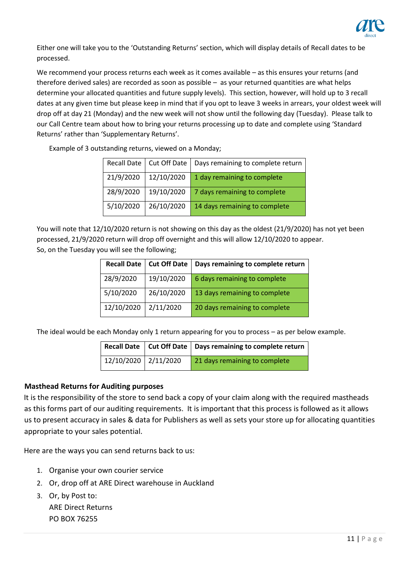

Either one will take you to the 'Outstanding Returns' section, which will display details of Recall dates to be processed.

We recommend your process returns each week as it comes available – as this ensures your returns (and therefore derived sales) are recorded as soon as possible – as your returned quantities are what helps determine your allocated quantities and future supply levels). This section, however, will hold up to 3 recall dates at any given time but please keep in mind that if you opt to leave 3 weeks in arrears, your oldest week will drop off at day 21 (Monday) and the new week will not show until the following day (Tuesday). Please talk to our Call Centre team about how to bring your returns processing up to date and complete using 'Standard Returns' rather than 'Supplementary Returns'.

Example of 3 outstanding returns, viewed on a Monday;

|           | Recall Date   Cut Off Date | Days remaining to complete return |
|-----------|----------------------------|-----------------------------------|
| 21/9/2020 | 12/10/2020                 | 1 day remaining to complete       |
| 28/9/2020 | 19/10/2020                 | 7 days remaining to complete      |
| 5/10/2020 | 26/10/2020                 | 14 days remaining to complete     |

You will note that 12/10/2020 return is not showing on this day as the oldest (21/9/2020) has not yet been processed, 21/9/2020 return will drop off overnight and this will allow 12/10/2020 to appear. So, on the Tuesday you will see the following;

| <b>Recall Date</b> | Cut Off Date | Days remaining to complete return |
|--------------------|--------------|-----------------------------------|
| 28/9/2020          | 19/10/2020   | 6 days remaining to complete      |
| 5/10/2020          | 26/10/2020   | 13 days remaining to complete     |
| 12/10/2020         | 2/11/2020    | 20 days remaining to complete     |

The ideal would be each Monday only 1 return appearing for you to process – as per below example.

|                      | Recall Date   Cut Off Date   Days remaining to complete return |
|----------------------|----------------------------------------------------------------|
| 12/10/2020 2/11/2020 | 21 days remaining to complete                                  |

#### <span id="page-10-0"></span>**Masthead Returns for Auditing purposes**

It is the responsibility of the store to send back a copy of your claim along with the required mastheads as this forms part of our auditing requirements. It is important that this process is followed as it allows us to present accuracy in sales & data for Publishers as well as sets your store up for allocating quantities appropriate to your sales potential.

Here are the ways you can send returns back to us:

- 1. Organise your own courier service
- 2. Or, drop off at ARE Direct warehouse in Auckland
- 3. Or, by Post to: ARE Direct Returns PO BOX 76255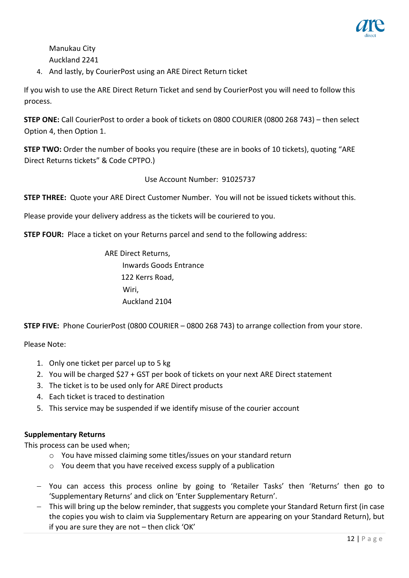

Manukau City Auckland 2241

4. And lastly, by CourierPost using an ARE Direct Return ticket

If you wish to use the ARE Direct Return Ticket and send by CourierPost you will need to follow this process.

**STEP ONE:** Call CourierPost to order a book of tickets on 0800 COURIER (0800 268 743) – then select Option 4, then Option 1.

**STEP TWO:** Order the number of books you require (these are in books of 10 tickets), quoting "ARE Direct Returns tickets" & Code CPTPO.)

Use Account Number: 91025737

**STEP THREE:** Quote your ARE Direct Customer Number. You will not be issued tickets without this.

Please provide your delivery address as the tickets will be couriered to you.

**STEP FOUR:** Place a ticket on your Returns parcel and send to the following address:

ARE Direct Returns, Inwards Goods Entrance 122 Kerrs Road, Wiri, Auckland 2104

**STEP FIVE:** Phone CourierPost (0800 COURIER – 0800 268 743) to arrange collection from your store.

Please Note:

- 1. Only one ticket per parcel up to 5 kg
- 2. You will be charged \$27 + GST per book of tickets on your next ARE Direct statement
- 3. The ticket is to be used only for ARE Direct products
- 4. Each ticket is traced to destination
- 5. This service may be suspended if we identify misuse of the courier account

#### <span id="page-11-0"></span>**Supplementary Returns**

This process can be used when;

- o You have missed claiming some titles/issues on your standard return
- o You deem that you have received excess supply of a publication
- − You can access this process online by going to 'Retailer Tasks' then 'Returns' then go to 'Supplementary Returns' and click on 'Enter Supplementary Return'.
- − This will bring up the below reminder, that suggests you complete your Standard Return first (in case the copies you wish to claim via Supplementary Return are appearing on your Standard Return), but if you are sure they are not – then click 'OK'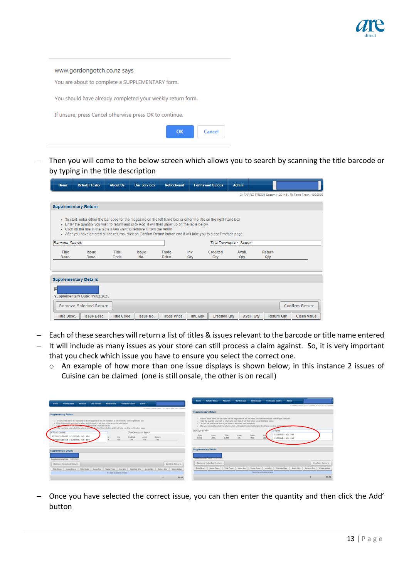

| www.gordongotch.co.nz says                                 |
|------------------------------------------------------------|
| You are about to complete a SUPPLEMENTARY form.            |
| You should have already completed your weekly return form. |
| If unsure, press Cancel otherwise press OK to continue.    |
| $\alpha$<br>Cancel                                         |

− Then you will come to the below screen which allows you to search by scanning the title barcode or by typing in the title description

| Home                  | <b>Retailer Tasks</b>                                                                                                                                                                                                                                                                                                                                                                                                      | <b>About Us</b>      | <b>Our Services</b> | <b>Noticeboard</b> |             | <b>Forms and Guides</b>         | <b>Admin</b>  |                      |                                                         |  |
|-----------------------|----------------------------------------------------------------------------------------------------------------------------------------------------------------------------------------------------------------------------------------------------------------------------------------------------------------------------------------------------------------------------------------------------------------------------|----------------------|---------------------|--------------------|-------------|---------------------------------|---------------|----------------------|---------------------------------------------------------|--|
|                       |                                                                                                                                                                                                                                                                                                                                                                                                                            |                      |                     |                    |             |                                 |               |                      | O: FARRO FRESH Epsom (120145), R: Farro Fresh (1039880) |  |
|                       | <b>Supplementary Return</b>                                                                                                                                                                                                                                                                                                                                                                                                |                      |                     |                    |             |                                 |               |                      |                                                         |  |
|                       | • To start, enter either the bar code for the magazine on the left hand box or enter the title on the right hand box<br>• Enter the quantity you wish to return and click Add, it will then show up on the table below<br>. Click on the title in the table if you want to remove it from the return<br>After you have entered all the returns, click on Confirm Return button and it will take you to a confirmation page |                      |                     |                    |             |                                 |               |                      |                                                         |  |
| <b>Barcode Search</b> |                                                                                                                                                                                                                                                                                                                                                                                                                            |                      |                     |                    |             | <b>Title Description Search</b> |               |                      |                                                         |  |
| Title<br>Desc.        | <b>Issue</b><br>Desc.                                                                                                                                                                                                                                                                                                                                                                                                      | <b>Title</b><br>Code | <b>Issue</b><br>No. | Trade<br>Price     | Inv.<br>Qtv | <b>Credited</b><br>Qtv          | Avail.<br>Qtv | <b>Return</b><br>Qtv |                                                         |  |
|                       | <b>Supplementary Details</b>                                                                                                                                                                                                                                                                                                                                                                                               |                      |                     |                    |             |                                 |               |                      |                                                         |  |
| F                     | Supplementary Date: 19/02/2020<br>Remove Selected Return                                                                                                                                                                                                                                                                                                                                                                   |                      |                     |                    |             |                                 |               |                      | Confirm Return                                          |  |
| <b>Title Desc.</b>    | Issue Desc.                                                                                                                                                                                                                                                                                                                                                                                                                | <b>Title Code</b>    | <b>Issue No.</b>    | <b>Trade Price</b> | Inv. Qtv    | <b>Credited Otv</b>             | Avail, Qtv    | <b>Return Qtv</b>    | <b>Claim Value</b>                                      |  |

- − Each of these searches will return a list of titles & issues relevant to the barcode or title name entered
- − It will include as many issues as your store can still process a claim against. So, it is very important that you check which issue you have to ensure you select the correct one.
	- o An example of how more than one issue displays is shown below, in this instance 2 issues of Cuisine can be claimed (one is still onsale, the other is on recall)

|                                                                                                                                                                                                                                                                                                                                                                                                                          |                            |                                  |                                                         | <b>Home</b>                  | <b>Retailer Tasks</b>                                                      | <b>About Us</b> | <b>Char Services</b> | Noticeboard                                                                                                                                                                                                                                                                                                                               |                            | <b>Forms and Guides</b> | <b>Admin</b>                                                        |                                                         |                |
|--------------------------------------------------------------------------------------------------------------------------------------------------------------------------------------------------------------------------------------------------------------------------------------------------------------------------------------------------------------------------------------------------------------------------|----------------------------|----------------------------------|---------------------------------------------------------|------------------------------|----------------------------------------------------------------------------|-----------------|----------------------|-------------------------------------------------------------------------------------------------------------------------------------------------------------------------------------------------------------------------------------------------------------------------------------------------------------------------------------------|----------------------------|-------------------------|---------------------------------------------------------------------|---------------------------------------------------------|----------------|
| <b>Retailer Taxks</b><br>About the<br><b>Our Services</b><br><b>Home</b>                                                                                                                                                                                                                                                                                                                                                 | Noticeboard                | <b>Forms and Guides</b><br>Admin | O: FARRO FRESH Epson (120145), R: Farro Freeh (1039550) |                              |                                                                            |                 |                      |                                                                                                                                                                                                                                                                                                                                           |                            |                         |                                                                     | O: FARRO FRESH Epson (120145), R: Farro Fresh (1039880) |                |
| <b>Supplementary Return</b>                                                                                                                                                                                                                                                                                                                                                                                              |                            |                                  |                                                         | <b>Supplementary Return</b>  |                                                                            |                 |                      |                                                                                                                                                                                                                                                                                                                                           |                            |                         |                                                                     |                                                         |                |
| . To start, enter either the bar code for the magazine on the left hand box or enter the title on the right hand box.<br>. Enter the quantity you wish to return and click Add, it will then show up on the table below<br>. Click aways use in the table is you will to remove it from the return<br>After you have entered all the returns, click on Confirm Return button and it will take you to a confirmation page |                            |                                  |                                                         | Barcode Search               | . Click on the title in the table if you want to remove it from the return |                 |                      | . To start, enter either the bar code for the magazine on the left hand box or enter the title on the right hand box<br>. Enter the quantity you wish to return and click Add, it will then show up on the table below<br>. After you have entered all the returns, click on Confirm Return button and it will take you to a confirmation |                            | Cuisine                 |                                                                     |                                                         |                |
| 9770113120605                                                                                                                                                                                                                                                                                                                                                                                                            |                            | Title Description Search         |                                                         |                              |                                                                            |                 |                      |                                                                                                                                                                                                                                                                                                                                           |                            | CUISINE> NO. 198        |                                                                     |                                                         |                |
| 9770113120605   CUISINE> NO. 198                                                                                                                                                                                                                                                                                                                                                                                         | lay.                       | Avail.<br>Credited               | Return                                                  | Title<br>Desc.               | <b>Jeene</b><br>Desc.                                                      | Title<br>Code   | <b>Issue</b><br>No.  | Trade<br>Price                                                                                                                                                                                                                                                                                                                            | Inv<br>Qty                 | CUISINE> NO. 199        |                                                                     |                                                         |                |
| \$220113120605   CUISINE> NO. 199                                                                                                                                                                                                                                                                                                                                                                                        | Qty                        | Qty<br>Qty                       | Oty                                                     |                              |                                                                            |                 |                      |                                                                                                                                                                                                                                                                                                                                           |                            |                         |                                                                     |                                                         |                |
| <b>Supplementary Details</b>                                                                                                                                                                                                                                                                                                                                                                                             |                            |                                  |                                                         | <b>Supplementary Details</b> |                                                                            |                 |                      |                                                                                                                                                                                                                                                                                                                                           |                            |                         |                                                                     |                                                         |                |
| Supplementary Date: 19/02/2020                                                                                                                                                                                                                                                                                                                                                                                           |                            |                                  |                                                         |                              | aupprementary trace, newcreased                                            |                 |                      |                                                                                                                                                                                                                                                                                                                                           |                            |                         |                                                                     |                                                         |                |
| Remove Selected Return                                                                                                                                                                                                                                                                                                                                                                                                   |                            |                                  | Confirm Return                                          |                              | Remove Selected Return                                                     |                 |                      |                                                                                                                                                                                                                                                                                                                                           |                            |                         |                                                                     |                                                         | Confirm Return |
| Title Desc. Issue Desc. Title Code Issue No. Trade Price Inv. Qty Credited Qty Avail Qty Return Qty Claim Value                                                                                                                                                                                                                                                                                                          |                            |                                  |                                                         |                              | Title Desc. Issue Desc.                                                    | Title Code      | Issue No.            |                                                                                                                                                                                                                                                                                                                                           |                            |                         | Trade Price Inv. Qty Credited Qty Avail. Qty Return Qty Claim Value |                                                         |                |
|                                                                                                                                                                                                                                                                                                                                                                                                                          | No data available in table |                                  |                                                         |                              |                                                                            |                 |                      |                                                                                                                                                                                                                                                                                                                                           | No data available in table |                         |                                                                     |                                                         |                |
|                                                                                                                                                                                                                                                                                                                                                                                                                          |                            |                                  | \$0.00                                                  |                              |                                                                            |                 |                      |                                                                                                                                                                                                                                                                                                                                           |                            |                         |                                                                     |                                                         | \$0.00         |

− Once you have selected the correct issue, you can then enter the quantity and then click the Add' button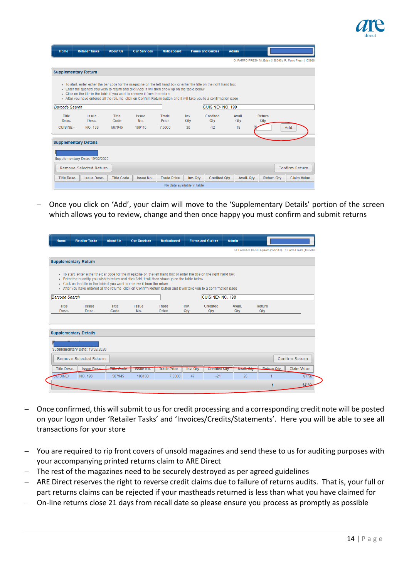

| Home                  | <b>Retailer Tasks</b>                                                                                                                                                                                                                                                                                                                                                                                                      | <b>About Us</b>      | <b>Our Services</b> | <b>Noticeboard</b>         |             | <b>Forms and Guides</b> | <b>Admin</b>  |               |                   |                                                         |
|-----------------------|----------------------------------------------------------------------------------------------------------------------------------------------------------------------------------------------------------------------------------------------------------------------------------------------------------------------------------------------------------------------------------------------------------------------------|----------------------|---------------------|----------------------------|-------------|-------------------------|---------------|---------------|-------------------|---------------------------------------------------------|
|                       |                                                                                                                                                                                                                                                                                                                                                                                                                            |                      |                     |                            |             |                         |               |               |                   | O: FARRO FRESH Mt Eden (188546), R: Farro Fresh (103988 |
|                       | <b>Supplementary Return</b>                                                                                                                                                                                                                                                                                                                                                                                                |                      |                     |                            |             |                         |               |               |                   |                                                         |
|                       | • To start, enter either the bar code for the magazine on the left hand box or enter the title on the right hand box<br>. Enter the quantity you wish to return and click Add, it will then show up on the table below<br>. Click on the title in the table if you want to remove it from the return<br>After you have entered all the returns, click on Confirm Return button and it will take you to a confirmation page |                      |                     |                            |             |                         |               |               |                   |                                                         |
| <b>Barcode Search</b> |                                                                                                                                                                                                                                                                                                                                                                                                                            |                      |                     |                            |             | CUISINE> NO. 199        |               |               |                   |                                                         |
| <b>Title</b><br>Desc. | <b>Issue</b><br>Desc.                                                                                                                                                                                                                                                                                                                                                                                                      | <b>Title</b><br>Code | <b>Issue</b><br>No. | <b>Trade</b><br>Price      | Inv.<br>Qtv | Credited<br><b>Qtv</b>  | Avail.<br>Qtv | Return<br>Qty |                   |                                                         |
| CUISINE>              | NO. 199                                                                                                                                                                                                                                                                                                                                                                                                                    | 507945               | 100110              | 7.5000                     | 30          | $-12$                   | 18            |               |                   | Add                                                     |
|                       | <b>Supplementary Details</b>                                                                                                                                                                                                                                                                                                                                                                                               |                      |                     |                            |             |                         |               |               |                   |                                                         |
|                       | Supplementary Date: 19/02/2020                                                                                                                                                                                                                                                                                                                                                                                             |                      |                     |                            |             |                         |               |               |                   |                                                         |
|                       | <b>Remove Selected Return</b>                                                                                                                                                                                                                                                                                                                                                                                              |                      |                     |                            |             |                         |               |               |                   | Confirm Return                                          |
| <b>Title Desc.</b>    | <b>Issue Desc.</b>                                                                                                                                                                                                                                                                                                                                                                                                         | <b>Title Code</b>    | <b>Issue No.</b>    | <b>Trade Price</b>         | Inv. Qtv    | <b>Credited Qtv</b>     | Avail, Qtv    |               | <b>Return Qtv</b> | <b>Claim Value</b>                                      |
|                       |                                                                                                                                                                                                                                                                                                                                                                                                                            |                      |                     | No data available in table |             |                         |               |               |                   |                                                         |

− Once you click on 'Add', your claim will move to the 'Supplementary Details' portion of the screen which allows you to review, change and then once happy you must confirm and submit returns

| Home                  | <b>Retailer Tasks</b>                                                                                                                                                        | <b>About Us</b>             | <b>Our Services</b> | <b>Noticeboard</b>           |             | <b>Forms and Guides</b> | <b>Admin</b>  |                                                        |                    |
|-----------------------|------------------------------------------------------------------------------------------------------------------------------------------------------------------------------|-----------------------------|---------------------|------------------------------|-------------|-------------------------|---------------|--------------------------------------------------------|--------------------|
|                       |                                                                                                                                                                              |                             |                     |                              |             |                         |               | O: FARRO FRESH Epsom (120145), R: Farro Fresh (1039880 |                    |
|                       | <b>Supplementary Return</b>                                                                                                                                                  |                             |                     |                              |             |                         |               |                                                        |                    |
|                       | • To start, enter either the bar code for the magazine on the left hand box or enter the title on the right hand box                                                         |                             |                     |                              |             |                         |               |                                                        |                    |
|                       | • Enter the quantity you wish to return and click Add, it will then show up on the table below<br>- Click on the title in the table if you want to remove it from the return |                             |                     |                              |             |                         |               |                                                        |                    |
|                       | . After you have entered all the returns, click on Confirm Return button and it will take you to a confirmation page                                                         |                             |                     |                              |             |                         |               |                                                        |                    |
| <b>Barcode Search</b> |                                                                                                                                                                              |                             |                     |                              |             | CUISINE> NO. 198        |               |                                                        |                    |
| <b>Title</b><br>Desc. | <b>Issue</b><br>Desc.                                                                                                                                                        | <b>Title</b><br>Code        | <b>Issue</b><br>No. | <b>Trade</b><br><b>Price</b> | Inv.<br>Qty | <b>Credited</b><br>Qty  | Avail.<br>Qty | <b>Return</b><br>Qty                                   |                    |
|                       |                                                                                                                                                                              |                             |                     |                              |             |                         |               |                                                        |                    |
|                       |                                                                                                                                                                              |                             |                     |                              |             |                         |               |                                                        |                    |
|                       | <b>Supplementary Details</b>                                                                                                                                                 |                             |                     |                              |             |                         |               |                                                        |                    |
|                       |                                                                                                                                                                              |                             |                     |                              |             |                         |               |                                                        |                    |
|                       | Supplementary Date: 19/02/2020                                                                                                                                               |                             |                     |                              |             |                         |               |                                                        |                    |
|                       | <b>Remove Selected Return</b>                                                                                                                                                |                             |                     |                              |             |                         |               |                                                        | Confirm Return     |
| <b>Title Desc.</b>    | <b>Issue Desc.</b>                                                                                                                                                           | Title C<br><b>THE GUILE</b> | <b>ISSUE NO.</b>    | <b>Trade Price</b>           | Inv. Qty    | <b>Credited Qty</b>     | Avail. Qty    | <b>Return Otv</b>                                      | <b>Claim Value</b> |
| <b>CUISINE&gt;</b>    | <b>NO. 198</b>                                                                                                                                                               | 507945                      | 100100              | 7.5000                       | 47          | $-21$                   | 26            |                                                        | \$7.50             |
|                       |                                                                                                                                                                              |                             |                     |                              |             |                         |               |                                                        |                    |

- − Once confirmed, this will submit to us for credit processing and a corresponding credit note will be posted on your logon under 'Retailer Tasks' and 'Invoices/Credits/Statements'. Here you will be able to see all transactions for your store
- − You are required to rip front covers of unsold magazines and send these to us for auditing purposes with your accompanying printed returns claim to ARE Direct
- − The rest of the magazines need to be securely destroyed as per agreed guidelines
- − ARE Direct reserves the right to reverse credit claims due to failure of returns audits. That is, your full or part returns claims can be rejected if your mastheads returned is less than what you have claimed for
- − On-line returns close 21 days from recall date so please ensure you process as promptly as possible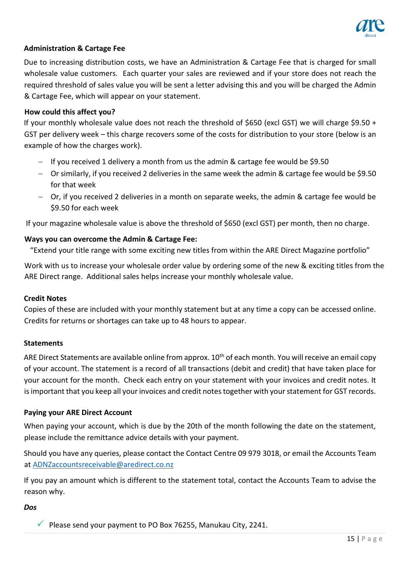

# <span id="page-14-0"></span>**Administration & Cartage Fee**

Due to increasing distribution costs, we have an Administration & Cartage Fee that is charged for small wholesale value customers. Each quarter your sales are reviewed and if your store does not reach the required threshold of sales value you will be sent a letter advising this and you will be charged the Admin & Cartage Fee, which will appear on your statement.

#### <span id="page-14-1"></span>**How could this affect you?**

If your monthly wholesale value does not reach the threshold of \$650 (excl GST) we will charge \$9.50 + GST per delivery week – this charge recovers some of the costs for distribution to your store (below is an example of how the charges work).

- − If you received 1 delivery a month from us the admin & cartage fee would be \$9.50
- − Or similarly, if you received 2 deliveries in the same week the admin & cartage fee would be \$9.50 for that week
- − Or, if you received 2 deliveries in a month on separate weeks, the admin & cartage fee would be \$9.50 for each week

If your magazine wholesale value is above the threshold of \$650 (excl GST) per month, then no charge.

## <span id="page-14-2"></span>**Ways you can overcome the Admin & Cartage Fee:**

"Extend your title range with some exciting new titles from within the ARE Direct Magazine portfolio"

Work with us to increase your wholesale order value by ordering some of the new & exciting titles from the ARE Direct range. Additional sales helps increase your monthly wholesale value.

#### <span id="page-14-3"></span>**Credit Notes**

Copies of these are included with your monthly statement but at any time a copy can be accessed online. Credits for returns or shortages can take up to 48 hours to appear.

#### <span id="page-14-4"></span>**Statements**

ARE Direct Statements are available online from approx. 10<sup>th</sup> of each month. You will receive an email copy of your account. The statement is a record of all transactions (debit and credit) that have taken place for your account for the month. Check each entry on your statement with your invoices and credit notes. It is important that you keep all your invoices and credit notes together with your statement for GST records.

#### <span id="page-14-5"></span>**Paying your ARE Direct Account**

When paying your account, which is due by the 20th of the month following the date on the statement, please include the remittance advice details with your payment.

Should you have any queries, please contact the Contact Centre 09 979 3018, or email the Accounts Team a[t ADNZaccountsreceivable@aredirect.co.nz](mailto:ADNZaccountsreceivable@aredirect.co.nz)

If you pay an amount which is different to the statement total, contact the Accounts Team to advise the reason why.

<span id="page-14-6"></span>*Dos* 

 $\sqrt{ }$  Please send your payment to PO Box 76255, Manukau City, 2241.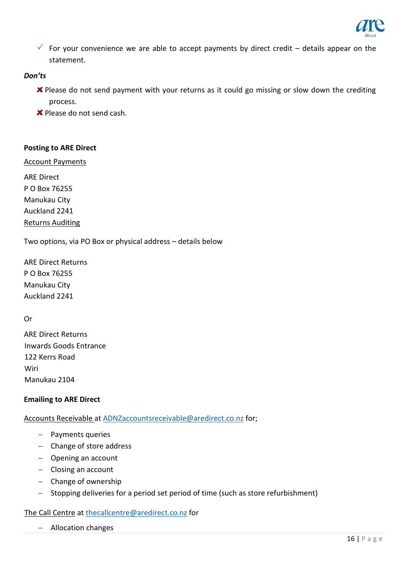

For your convenience we are able to accept payments by direct credit – details appear on the statement.

## <span id="page-15-0"></span>*Don'ts*

- $\boldsymbol{\times}$  Please do not send payment with your returns as it could go missing or slow down the crediting process.
- **X** Please do not send cash.

#### <span id="page-15-1"></span>**Posting to ARE Direct**

Account Payments

ARE Direct P O Box 76255 Manukau City Auckland 2241 Returns Auditing

Two options, via PO Box or physical address – details below

ARE Direct Returns P O Box 76255 Manukau City Auckland 2241

Or

ARE Direct Returns Inwards Goods Entrance 122 Kerrs Road **Wiri** Manukau 2104

#### <span id="page-15-2"></span>**Emailing to ARE Direct**

Accounts Receivable at [ADNZaccountsreceivable@aredirect.co.nz](mailto:ADNZaccountsreceivable@aredirect.co.nz) for;

- − Payments queries
- − Change of store address
- − Opening an account
- − Closing an account
- − Change of ownership
- − Stopping deliveries for a period set period of time (such as store refurbishment)

The Call Centre a[t thecallcentre@aredirect.co.nz](mailto:thecallcentre@aredirect.co.nz) for

− Allocation changes